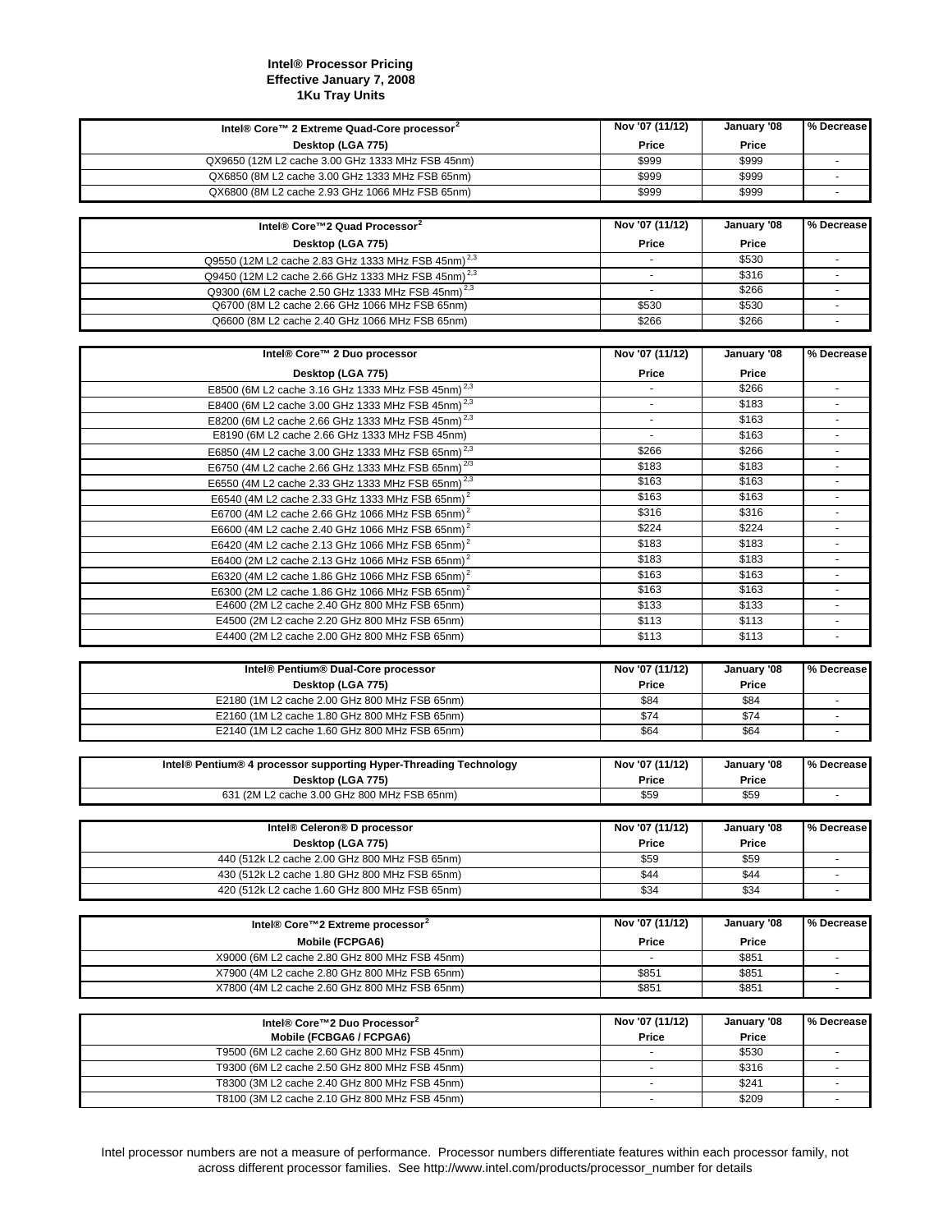## **Intel® Processor Pricing Effective January 7, 2008 1Ku Tray Units**

| Intel® Core™ 2 Extreme Quad-Core processor <sup>2</sup>                                        | Nov '07 (11/12) | January '08    | % Decrease                  |
|------------------------------------------------------------------------------------------------|-----------------|----------------|-----------------------------|
| Desktop (LGA 775)                                                                              | Price           | Price          |                             |
| QX9650 (12M L2 cache 3.00 GHz 1333 MHz FSB 45nm)                                               | \$999           | \$999          |                             |
| QX6850 (8M L2 cache 3.00 GHz 1333 MHz FSB 65nm)                                                | \$999           | \$999          | $\blacksquare$              |
| QX6800 (8M L2 cache 2.93 GHz 1066 MHz FSB 65nm)                                                | \$999           | \$999          |                             |
|                                                                                                |                 |                |                             |
|                                                                                                |                 |                |                             |
| Intel® Core™2 Quad Processor <sup>2</sup>                                                      | Nov '07 (11/12) | January '08    | % Decrease                  |
| Desktop (LGA 775)                                                                              | Price           | Price          |                             |
| Q9550 (12M L2 cache 2.83 GHz 1333 MHz FSB 45nm) <sup>2,3</sup>                                 |                 | \$530          |                             |
| Q9450 (12M L2 cache 2.66 GHz 1333 MHz FSB 45nm) <sup>2,3</sup>                                 | ×.              | \$316          | $\sim$                      |
| Q9300 (6M L2 cache 2.50 GHz 1333 MHz FSB 45nm) <sup>2,3</sup>                                  | $\blacksquare$  | \$266          | $\blacksquare$              |
| Q6700 (8M L2 cache 2.66 GHz 1066 MHz FSB 65nm)                                                 | \$530           | \$530          | $\overline{\phantom{a}}$    |
| Q6600 (8M L2 cache 2.40 GHz 1066 MHz FSB 65nm)                                                 | \$266           | \$266          | $\mathcal{L}_{\mathcal{A}}$ |
|                                                                                                |                 |                |                             |
| Intel® Core™ 2 Duo processor                                                                   | Nov '07 (11/12) | January '08    | % Decrease                  |
|                                                                                                |                 |                |                             |
| Desktop (LGA 775)                                                                              | Price           | Price          |                             |
| E8500 (6M L2 cache 3.16 GHz 1333 MHz FSB 45nm) <sup>2,3</sup>                                  |                 | \$266          | ÷.                          |
| E8400 (6M L2 cache 3.00 GHz 1333 MHz FSB 45nm) <sup>2,3</sup>                                  | $\sim$          | \$183          | $\overline{\phantom{a}}$    |
| E8200 (6M L2 cache 2.66 GHz 1333 MHz FSB 45nm) <sup>2,3</sup>                                  |                 | \$163          |                             |
| E8190 (6M L2 cache 2.66 GHz 1333 MHz FSB 45nm)                                                 | $\omega$        | \$163          | $\sim$                      |
| E6850 (4M L2 cache 3.00 GHz 1333 MHz FSB 65nm) <sup>2,3</sup>                                  | \$266           | \$266          | $\sim$                      |
| E6750 (4M L2 cache 2.66 GHz 1333 MHz FSB 65nm) <sup>2/3</sup>                                  | \$183           | \$183          | ٠                           |
| E6550 (4M L2 cache 2.33 GHz 1333 MHz FSB 65nm) <sup>2,3</sup>                                  | \$163           | \$163          |                             |
| E6540 (4M L2 cache 2.33 GHz 1333 MHz FSB 65nm) <sup>2</sup>                                    | \$163           | \$163          | $\blacksquare$              |
| E6700 (4M L2 cache 2.66 GHz 1066 MHz FSB 65nm) <sup>2</sup>                                    | \$316           | \$316          | ٠                           |
| E6600 (4M L2 cache 2.40 GHz 1066 MHz FSB 65nm) <sup>2</sup>                                    | \$224           | \$224          | $\sim$                      |
| E6420 (4M L2 cache 2.13 GHz 1066 MHz FSB 65nm) <sup>2</sup>                                    | \$183           | \$183          | $\overline{\phantom{a}}$    |
| E6400 (2M L2 cache 2.13 GHz 1066 MHz FSB 65nm) <sup>2</sup>                                    | \$183           | \$183          | ٠                           |
| E6320 (4M L2 cache 1.86 GHz 1066 MHz FSB 65nm) <sup>2</sup>                                    | \$163           | \$163          | $\sim$                      |
| E6300 (2M L2 cache 1.86 GHz 1066 MHz FSB 65nm) <sup>2</sup>                                    | \$163           | \$163          | $\overline{\phantom{a}}$    |
| E4600 (2M L2 cache 2.40 GHz 800 MHz FSB 65nm)                                                  | \$133           | \$133          | $\sim$                      |
|                                                                                                |                 |                |                             |
|                                                                                                |                 |                |                             |
| E4500 (2M L2 cache 2.20 GHz 800 MHz FSB 65nm)                                                  | \$113           | \$113          | $\sim$                      |
| E4400 (2M L2 cache 2.00 GHz 800 MHz FSB 65nm)                                                  | \$113           | \$113          | ÷,                          |
|                                                                                                |                 |                |                             |
| Intel® Pentium® Dual-Core processor                                                            | Nov '07 (11/12) | January '08    | % Decrease                  |
| Desktop (LGA 775)                                                                              | Price           | Price          |                             |
| E2180 (1M L2 cache 2.00 GHz 800 MHz FSB 65nm)                                                  | \$84            | \$84           | $\blacksquare$              |
| E2160 (1M L2 cache 1.80 GHz 800 MHz FSB 65nm)                                                  | \$74            | \$74           |                             |
| E2140 (1M L2 cache 1.60 GHz 800 MHz FSB 65nm)                                                  | \$64            | \$64           | ÷,                          |
|                                                                                                |                 |                |                             |
| Intel® Pentium® 4 processor supporting Hyper-Threading Technology                              | Nov '07 (11/12) | January '08    | % Decrease                  |
| Desktop (LGA 775)                                                                              | Price           | Price          |                             |
| 631 (2M L2 cache 3.00 GHz 800 MHz FSB 65nm)                                                    | \$59            | \$59           | $\overline{\phantom{a}}$    |
|                                                                                                |                 |                |                             |
|                                                                                                |                 |                |                             |
| Intel® Celeron® D processor                                                                    | Nov '07 (11/12) | January '08    | % Decrease                  |
| Desktop (LGA 775)                                                                              | Price           | Price          |                             |
| 440 (512k L2 cache 2.00 GHz 800 MHz FSB 65nm)                                                  | \$59            | \$59           | $\blacksquare$              |
| 430 (512k L2 cache 1.80 GHz 800 MHz FSB 65nm)                                                  | \$44            | \$44           |                             |
| 420 (512k L2 cache 1.60 GHz 800 MHz FSB 65nm)                                                  | \$34            | \$34           | $\mathcal{L}_{\mathcal{A}}$ |
|                                                                                                |                 |                |                             |
| Intel® Core™2 Extreme processor <sup>2</sup>                                                   | Nov '07 (11/12) | January '08    | % Decrease                  |
| Mobile (FCPGA6)                                                                                | Price           | Price          |                             |
| X9000 (6M L2 cache 2.80 GHz 800 MHz FSB 45nm)                                                  |                 | \$851          |                             |
| X7900 (4M L2 cache 2.80 GHz 800 MHz FSB 65nm)                                                  | \$851           | \$851          |                             |
| X7800 (4M L2 cache 2.60 GHz 800 MHz FSB 65nm)                                                  | \$851           | \$851          | $\blacksquare$              |
|                                                                                                |                 |                |                             |
|                                                                                                | Nov '07 (11/12) | January '08    | % Decrease                  |
| Intel® Core™2 Duo Processor <sup>2</sup><br>Mobile (FCBGA6 / FCPGA6)                           | Price           | Price          |                             |
| T9500 (6M L2 cache 2.60 GHz 800 MHz FSB 45nm)                                                  |                 | \$530          |                             |
| T9300 (6M L2 cache 2.50 GHz 800 MHz FSB 45nm)                                                  | $\blacksquare$  | \$316          | $\sim$                      |
|                                                                                                |                 |                | $\sim$                      |
| T8300 (3M L2 cache 2.40 GHz 800 MHz FSB 45nm)<br>T8100 (3M L2 cache 2.10 GHz 800 MHz FSB 45nm) | $\blacksquare$  | \$241<br>\$209 |                             |

Intel processor numbers are not a measure of performance. Processor numbers differentiate features within each processor family, not across different processor families. See http://www.intel.com/products/processor\_number for details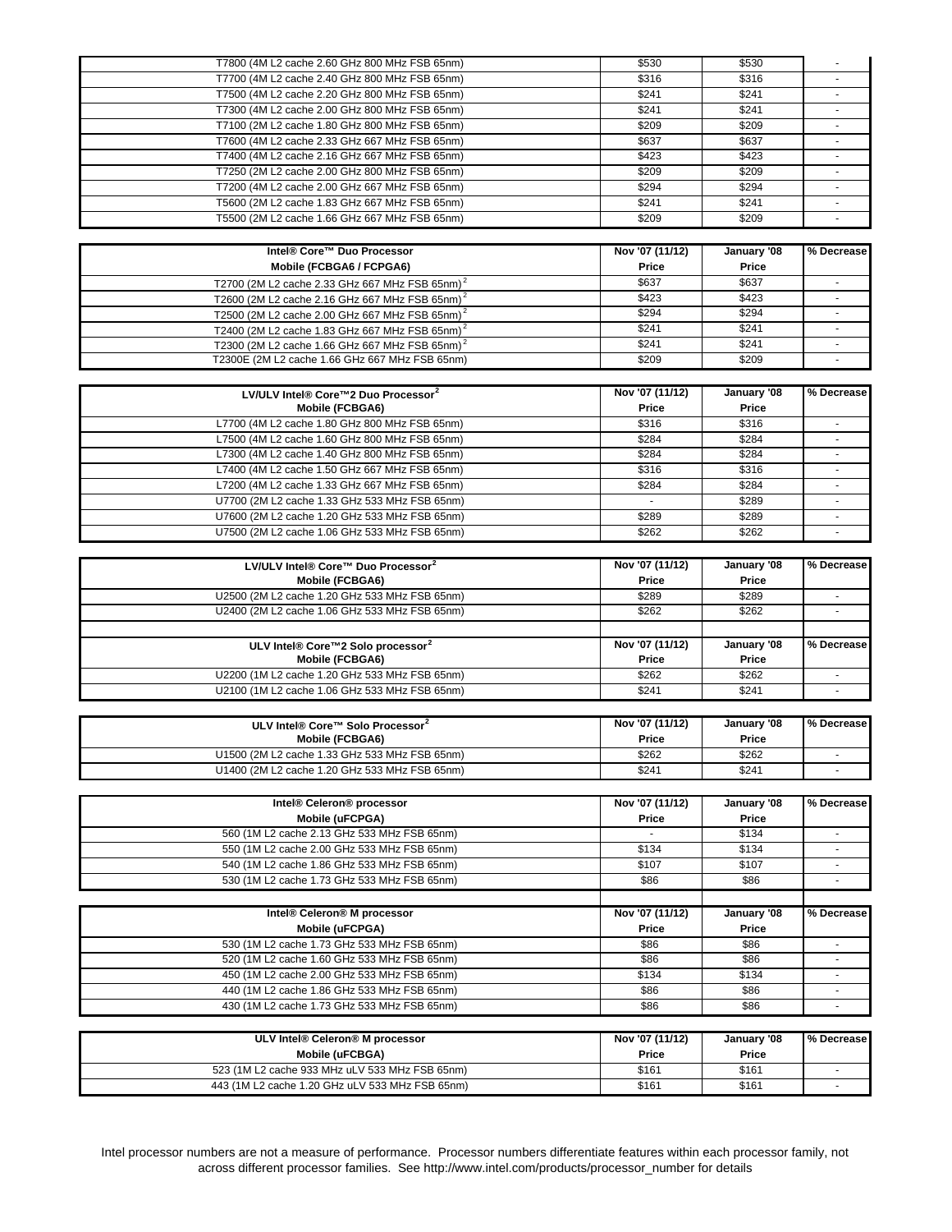| T7800 (4M L2 cache 2.60 GHz 800 MHz FSB 65nm)              | \$530           | \$530       |                |
|------------------------------------------------------------|-----------------|-------------|----------------|
| T7700 (4M L2 cache 2.40 GHz 800 MHz FSB 65nm)              | \$316           | \$316       |                |
| T7500 (4M L2 cache 2.20 GHz 800 MHz FSB 65nm)              | \$241           | \$241       | ÷.             |
| T7300 (4M L2 cache 2.00 GHz 800 MHz FSB 65nm)              | \$241           | \$241       |                |
| T7100 (2M L2 cache 1.80 GHz 800 MHz FSB 65nm)              | \$209           | \$209       |                |
| T7600 (4M L2 cache 2.33 GHz 667 MHz FSB 65nm)              | \$637           | \$637       | $\sim$         |
| T7400 (4M L2 cache 2.16 GHz 667 MHz FSB 65nm)              |                 | \$423       |                |
|                                                            | \$423           |             |                |
| T7250 (2M L2 cache 2.00 GHz 800 MHz FSB 65nm)              | \$209           | \$209       | $\sim$         |
| T7200 (4M L2 cache 2.00 GHz 667 MHz FSB 65nm)              | \$294           | \$294       | $\sim$         |
| T5600 (2M L2 cache 1.83 GHz 667 MHz FSB 65nm)              | \$241           | \$241       | $\blacksquare$ |
| T5500 (2M L2 cache 1.66 GHz 667 MHz FSB 65nm)              | \$209           | \$209       | $\omega$       |
|                                                            |                 |             |                |
| Intel® Core™ Duo Processor                                 | Nov '07 (11/12) | January '08 | % Decrease     |
|                                                            |                 |             |                |
| Mobile (FCBGA6 / FCPGA6)                                   | Price           | Price       |                |
| T2700 (2M L2 cache 2.33 GHz 667 MHz FSB 65nm) <sup>2</sup> | \$637           | \$637       | $\blacksquare$ |
| T2600 (2M L2 cache 2.16 GHz 667 MHz FSB 65nm) <sup>2</sup> | \$423           | \$423       | $\sim$         |
| T2500 (2M L2 cache 2.00 GHz 667 MHz FSB 65nm) <sup>2</sup> | \$294           | \$294       |                |
| T2400 (2M L2 cache 1.83 GHz 667 MHz FSB 65nm) <sup>2</sup> | \$241           | \$241       | $\sim$         |
| T2300 (2M L2 cache 1.66 GHz 667 MHz FSB 65nm) <sup>2</sup> | \$241           | \$241       |                |
| T2300E (2M L2 cache 1.66 GHz 667 MHz FSB 65nm)             | \$209           | \$209       |                |
|                                                            |                 |             |                |
|                                                            |                 |             |                |
| LV/ULV Intel® Core™2 Duo Processor <sup>2</sup>            | Nov '07 (11/12) | January '08 | % Decrease     |
| Mobile (FCBGA6)                                            | Price           | Price       |                |
| L7700 (4M L2 cache 1.80 GHz 800 MHz FSB 65nm)              | \$316           | \$316       | $\omega$       |
| L7500 (4M L2 cache 1.60 GHz 800 MHz FSB 65nm)              | \$284           | \$284       |                |
| L7300 (4M L2 cache 1.40 GHz 800 MHz FSB 65nm)              | \$284           | \$284       | $\sim$         |
| L7400 (4M L2 cache 1.50 GHz 667 MHz FSB 65nm)              | \$316           | \$316       |                |
|                                                            |                 |             |                |
| L7200 (4M L2 cache 1.33 GHz 667 MHz FSB 65nm)              | \$284           | \$284       | $\sim$         |
| U7700 (2M L2 cache 1.33 GHz 533 MHz FSB 65nm)              |                 | \$289       | $\sim$         |
| U7600 (2M L2 cache 1.20 GHz 533 MHz FSB 65nm)              | \$289           | \$289       |                |
| U7500 (2M L2 cache 1.06 GHz 533 MHz FSB 65nm)              | \$262           | \$262       | $\blacksquare$ |
|                                                            |                 |             |                |
| LV/ULV Intel® Core™ Duo Processor <sup>2</sup>             | Nov '07 (11/12) | January '08 | % Decrease     |
|                                                            |                 |             |                |
| Mobile (FCBGA6)                                            | Price           | Price       |                |
| U2500 (2M L2 cache 1.20 GHz 533 MHz FSB 65nm)              | \$289           | \$289       |                |
| U2400 (2M L2 cache 1.06 GHz 533 MHz FSB 65nm)              | \$262           | \$262       |                |
|                                                            |                 |             |                |
| ULV Intel® Core™2 Solo processor <sup>2</sup>              | Nov '07 (11/12) | January '08 | % Decrease     |
| Mobile (FCBGA6)                                            | Price           | Price       |                |
| U2200 (1M L2 cache 1.20 GHz 533 MHz FSB 65nm)              | \$262           | \$262       |                |
|                                                            |                 |             |                |
| U2100 (1M L2 cache 1.06 GHz 533 MHz FSB 65nm)              | \$241           | \$241       | ×.             |
|                                                            |                 |             |                |
| ULV Intel® Core™ Solo Processor <sup>2</sup>               | Nov '07 (11/12) | January '08 | % Decrease     |
| Mobile (FCBGA6)                                            | Price           | Price       |                |
| U1500 (2M L2 cache 1.33 GHz 533 MHz FSB 65nm)              | \$262           | \$262       |                |
| U1400 (2M L2 cache 1.20 GHz 533 MHz FSB 65nm)              | \$241           | \$241       |                |
|                                                            |                 |             |                |
|                                                            |                 |             |                |
| Intel® Celeron® processor                                  | Nov '07 (11/12) | January '08 | % Decrease     |
| Mobile (uFCPGA)                                            | Price           | Price       |                |
| 560 (1M L2 cache 2.13 GHz 533 MHz FSB 65nm)                | $\omega$        | \$134       |                |
| 550 (1M L2 cache 2.00 GHz 533 MHz FSB 65nm)                | \$134           | \$134       |                |
| 540 (1M L2 cache 1.86 GHz 533 MHz FSB 65nm)                | \$107           | \$107       |                |
|                                                            |                 |             |                |
| 530 (1M L2 cache 1.73 GHz 533 MHz FSB 65nm)                | \$86            | \$86        |                |
|                                                            |                 |             |                |
| Intel® Celeron® M processor                                | Nov '07 (11/12) | January '08 | % Decrease     |
| Mobile (uFCPGA)                                            | Price           | Price       |                |
| 530 (1M L2 cache 1.73 GHz 533 MHz FSB 65nm)                | \$86            | \$86        | $\sim$         |
| 520 (1M L2 cache 1.60 GHz 533 MHz FSB 65nm)                | \$86            | \$86        |                |
|                                                            |                 |             |                |
| 450 (1M L2 cache 2.00 GHz 533 MHz FSB 65nm)                | \$134           | \$134       |                |
| 440 (1M L2 cache 1.86 GHz 533 MHz FSB 65nm)                | \$86            | \$86        | $\sim$         |
| 430 (1M L2 cache 1.73 GHz 533 MHz FSB 65nm)                | \$86            | \$86        |                |
|                                                            |                 |             |                |
| ULV Intel® Celeron® M processor                            | Nov '07 (11/12) | January '08 | % Decrease     |
| Mobile (uFCBGA)                                            | Price           | Price       |                |
| 523 (1M L2 cache 933 MHz uLV 533 MHz FSB 65nm)             | \$161           | \$161       |                |
| 443 (1M L2 cache 1.20 GHz uLV 533 MHz FSB 65nm)            | \$161           | \$161       |                |
|                                                            |                 |             |                |

Intel processor numbers are not a measure of performance. Processor numbers differentiate features within each processor family, not across different processor families. See http://www.intel.com/products/processor\_number for details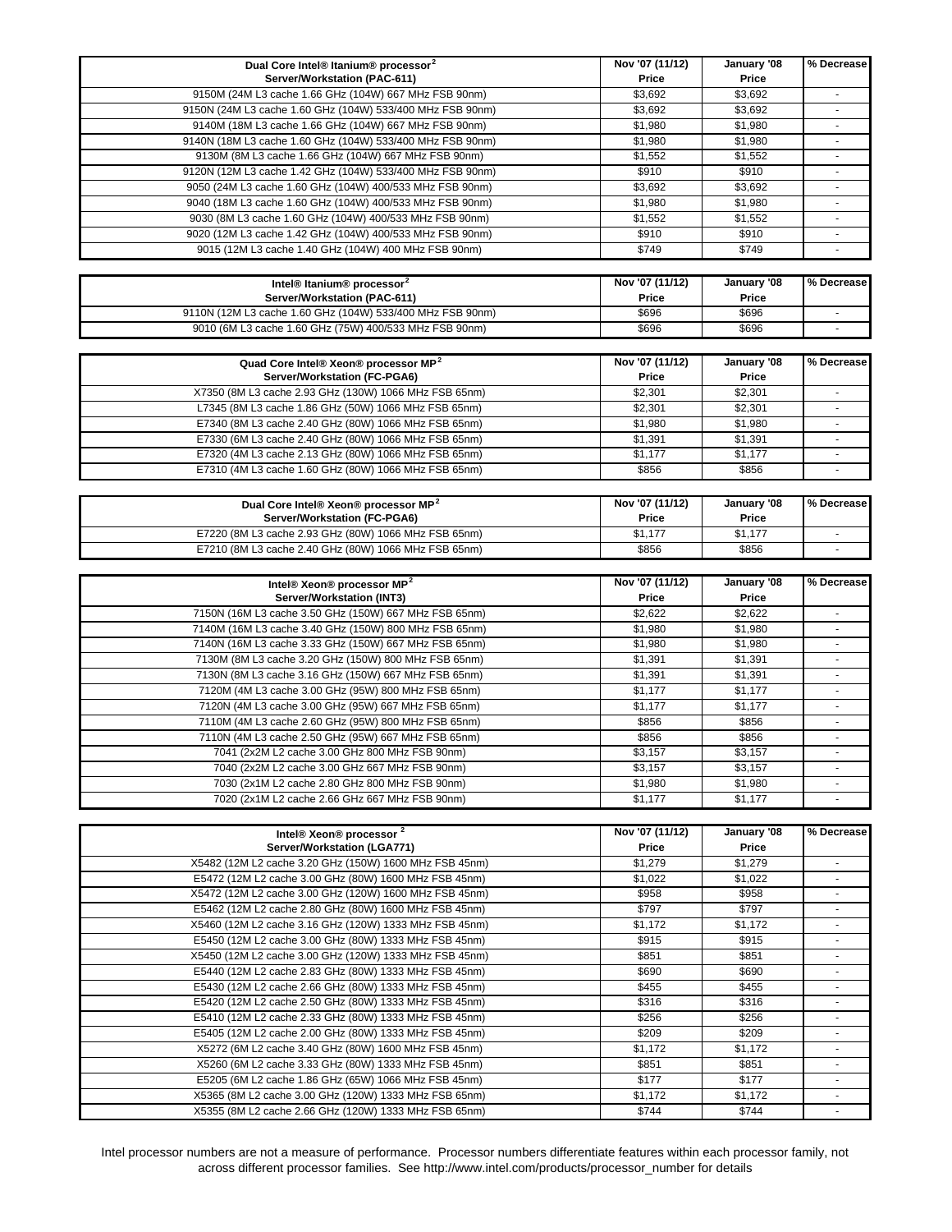| Dual Core Intel® Itanium® processor <sup>2</sup>          | Nov '07 (11/12) | January '08 | % Decrease     |
|-----------------------------------------------------------|-----------------|-------------|----------------|
| Server/Workstation (PAC-611)                              | Price           | Price       |                |
| 9150M (24M L3 cache 1.66 GHz (104W) 667 MHz FSB 90nm)     | \$3,692         | \$3.692     | $\blacksquare$ |
| 9150N (24M L3 cache 1.60 GHz (104W) 533/400 MHz FSB 90nm) | \$3,692         | \$3,692     | $\sim$         |
| 9140M (18M L3 cache 1.66 GHz (104W) 667 MHz FSB 90nm)     | \$1,980         | \$1,980     |                |
|                                                           |                 |             |                |
| 9140N (18M L3 cache 1.60 GHz (104W) 533/400 MHz FSB 90nm) | \$1,980         | \$1,980     |                |
| 9130M (8M L3 cache 1.66 GHz (104W) 667 MHz FSB 90nm)      | \$1,552         | \$1,552     | $\blacksquare$ |
| 9120N (12M L3 cache 1.42 GHz (104W) 533/400 MHz FSB 90nm) | \$910           | \$910       |                |
| 9050 (24M L3 cache 1.60 GHz (104W) 400/533 MHz FSB 90nm)  | \$3,692         | \$3,692     |                |
| 9040 (18M L3 cache 1.60 GHz (104W) 400/533 MHz FSB 90nm)  | \$1,980         | \$1,980     | $\blacksquare$ |
| 9030 (8M L3 cache 1.60 GHz (104W) 400/533 MHz FSB 90nm)   | \$1,552         | \$1,552     |                |
| 9020 (12M L3 cache 1.42 GHz (104W) 400/533 MHz FSB 90nm)  | \$910           | \$910       | $\blacksquare$ |
| 9015 (12M L3 cache 1.40 GHz (104W) 400 MHz FSB 90nm)      | \$749           | \$749       | $\blacksquare$ |
|                                                           |                 |             |                |
|                                                           |                 |             |                |
| Intel® Itanium® processor <sup>2</sup>                    | Nov '07 (11/12) | January '08 | % Decrease     |
| Server/Workstation (PAC-611)                              | Price           | Price       |                |
| 9110N (12M L3 cache 1.60 GHz (104W) 533/400 MHz FSB 90nm) | \$696           | \$696       | $\sim$         |
| 9010 (6M L3 cache 1.60 GHz (75W) 400/533 MHz FSB 90nm)    | \$696           | \$696       |                |
|                                                           |                 |             |                |
| Quad Core Intel® Xeon® processor MP <sup>2</sup>          | Nov '07 (11/12) | January '08 | % Decrease     |
| Server/Workstation (FC-PGA6)                              | Price           | Price       |                |
| X7350 (8M L3 cache 2.93 GHz (130W) 1066 MHz FSB 65nm)     | \$2,301         | \$2,301     | $\blacksquare$ |
| L7345 (8M L3 cache 1.86 GHz (50W) 1066 MHz FSB 65nm)      | \$2,301         | \$2,301     | $\sim$         |
| E7340 (8M L3 cache 2.40 GHz (80W) 1066 MHz FSB 65nm)      |                 |             |                |
|                                                           | \$1,980         | \$1,980     |                |
| E7330 (6M L3 cache 2.40 GHz (80W) 1066 MHz FSB 65nm)      | \$1,391         | \$1,391     | ÷.             |
| E7320 (4M L3 cache 2.13 GHz (80W) 1066 MHz FSB 65nm)      | \$1,177         | \$1,177     | $\sim$         |
| E7310 (4M L3 cache 1.60 GHz (80W) 1066 MHz FSB 65nm)      | \$856           | \$856       |                |
|                                                           |                 |             |                |
| Dual Core Intel® Xeon® processor MP <sup>2</sup>          | Nov '07 (11/12) | January '08 | % Decrease     |
| Server/Workstation (FC-PGA6)                              | Price           | Price       |                |
|                                                           |                 |             |                |
| E7220 (8M L3 cache 2.93 GHz (80W) 1066 MHz FSB 65nm)      | \$1,177         | \$1,177     |                |
| E7210 (8M L3 cache 2.40 GHz (80W) 1066 MHz FSB 65nm)      | \$856           | \$856       |                |
|                                                           |                 |             |                |
|                                                           |                 |             |                |
| Intel® Xeon® processor MP <sup>2</sup>                    | Nov '07 (11/12) | January '08 | % Decrease     |
| Server/Workstation (INT3)                                 | Price           | Price       |                |
|                                                           |                 |             |                |
| 7150N (16M L3 cache 3.50 GHz (150W) 667 MHz FSB 65nm)     | \$2,622         | \$2,622     |                |
| 7140M (16M L3 cache 3.40 GHz (150W) 800 MHz FSB 65nm)     | \$1,980         | \$1,980     |                |
| 7140N (16M L3 cache 3.33 GHz (150W) 667 MHz FSB 65nm)     | \$1,980         | \$1,980     | $\omega$       |
| 7130M (8M L3 cache 3.20 GHz (150W) 800 MHz FSB 65nm)      | \$1,391         | \$1,391     | $\sim$         |
| 7130N (8M L3 cache 3.16 GHz (150W) 667 MHz FSB 65nm)      | \$1,391         | \$1,391     |                |
| 7120M (4M L3 cache 3.00 GHz (95W) 800 MHz FSB 65nm)       | \$1,177         | \$1,177     | $\blacksquare$ |
| 7120N (4M L3 cache 3.00 GHz (95W) 667 MHz FSB 65nm)       | \$1,177         | \$1,177     | $\sim$         |
| 7110M (4M L3 cache 2.60 GHz (95W) 800 MHz FSB 65nm)       | \$856           | \$856       |                |
|                                                           |                 |             | $\blacksquare$ |
| 7110N (4M L3 cache 2.50 GHz (95W) 667 MHz FSB 65nm)       | \$856           | \$856       |                |
| 7041 (2x2M L2 cache 3.00 GHz 800 MHz FSB 90nm)            | \$3,157         | \$3,157     |                |
| 7040 (2x2M L2 cache 3.00 GHz 667 MHz FSB 90nm)            | \$3,157         | \$3,157     |                |
| 7030 (2x1M L2 cache 2.80 GHz 800 MHz FSB 90nm)            | \$1,980         | \$1,980     | $\sim$         |
| 7020 (2x1M L2 cache 2.66 GHz 667 MHz FSB 90nm)            | \$1,177         | \$1,177     |                |
|                                                           |                 |             |                |
| Intel® Xeon® processor <sup>2</sup>                       | Nov '07 (11/12) | January '08 | % Decrease     |
| Server/Workstation (LGA771)                               | Price           | Price       |                |
|                                                           |                 |             |                |
| X5482 (12M L2 cache 3.20 GHz (150W) 1600 MHz FSB 45nm)    | \$1,279         | \$1,279     |                |
| E5472 (12M L2 cache 3.00 GHz (80W) 1600 MHz FSB 45nm)     | \$1,022         | \$1,022     |                |
| X5472 (12M L2 cache 3.00 GHz (120W) 1600 MHz FSB 45nm)    | \$958           | \$958       |                |
| E5462 (12M L2 cache 2.80 GHz (80W) 1600 MHz FSB 45nm)     | \$797           | \$797       |                |
| X5460 (12M L2 cache 3.16 GHz (120W) 1333 MHz FSB 45nm)    | \$1,172         | \$1,172     |                |
| E5450 (12M L2 cache 3.00 GHz (80W) 1333 MHz FSB 45nm)     | \$915           | \$915       | $\sim$         |
| X5450 (12M L2 cache 3.00 GHz (120W) 1333 MHz FSB 45nm)    | \$851           | \$851       |                |
| E5440 (12M L2 cache 2.83 GHz (80W) 1333 MHz FSB 45nm)     | \$690           | \$690       |                |
|                                                           |                 |             |                |
| E5430 (12M L2 cache 2.66 GHz (80W) 1333 MHz FSB 45nm)     | \$455           | \$455       |                |
| E5420 (12M L2 cache 2.50 GHz (80W) 1333 MHz FSB 45nm)     | \$316           | \$316       |                |
| E5410 (12M L2 cache 2.33 GHz (80W) 1333 MHz FSB 45nm)     | \$256           | \$256       | $\sim$         |
| E5405 (12M L2 cache 2.00 GHz (80W) 1333 MHz FSB 45nm)     | \$209           | \$209       | $\sim$         |
| X5272 (6M L2 cache 3.40 GHz (80W) 1600 MHz FSB 45nm)      | \$1,172         | \$1,172     |                |
| X5260 (6M L2 cache 3.33 GHz (80W) 1333 MHz FSB 45nm)      | \$851           | \$851       | $\sim$         |

Intel processor numbers are not a measure of performance. Processor numbers differentiate features within each processor family, not across different processor families. See http://www.intel.com/products/processor\_number for details

X5365 (8M L2 cache 3.00 GHz (120W) 1333 MHz FSB 65nm) \$1,172 \$1,172 \$1,172 X5355 (8M L2 cache 2.66 GHz (120W) 1333 MHz FSB 65nm) \$744 \$744 \$744 \$744